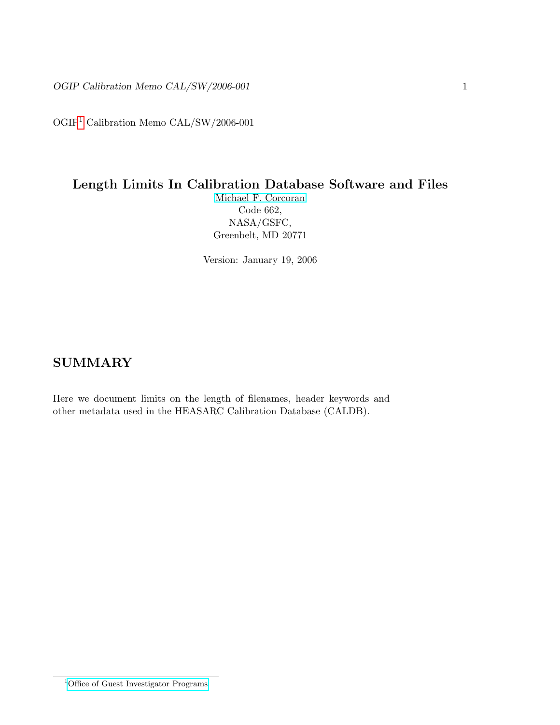OGIP[1](#page-0-0) Calibration Memo CAL/SW/2006-001

# Length Limits In Calibration Database Software and Files

[Michael F. Corcoran](http://eud.gsfc.nasa.gov/Michael.Corcoran/) Code 662, NASA/GSFC, Greenbelt, MD 20771

Version: January 19, 2006

### **SUMMARY**

<span id="page-0-0"></span>Here we document limits on the length of filenames, header keywords and other metadata used in the HEASARC Calibration Database (CALDB).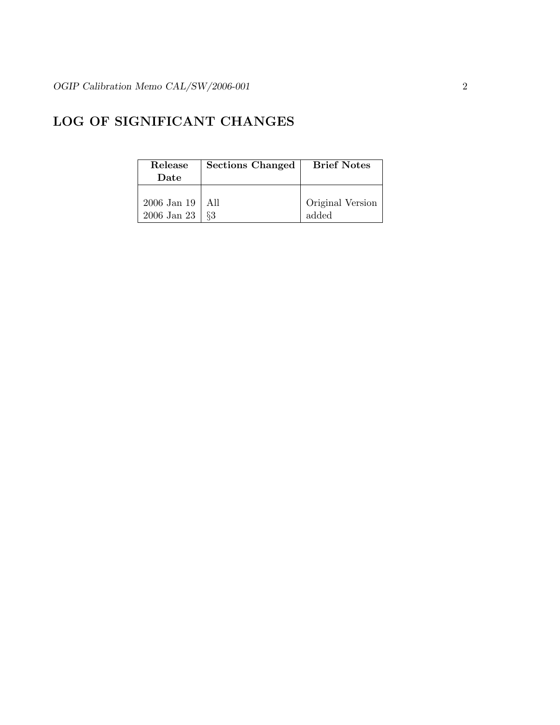## LOG OF SIGNIFICANT CHANGES

| Release<br>Date | Sections Changed | <b>Brief Notes</b> |
|-----------------|------------------|--------------------|
| 2006 Jan 19     | A 11             | Original Version   |
| $2006$ Jan $23$ | 83               | added              |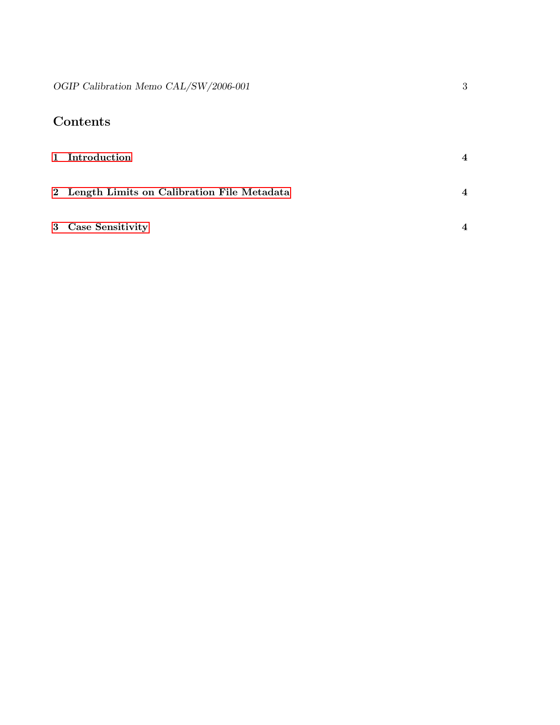# Contents

| 1 Introduction                               | $\boldsymbol{4}$         |
|----------------------------------------------|--------------------------|
| 2 Length Limits on Calibration File Metadata | $\boldsymbol{\Delta}$    |
| 3 Case Sensitivity                           | $\boldsymbol{\varDelta}$ |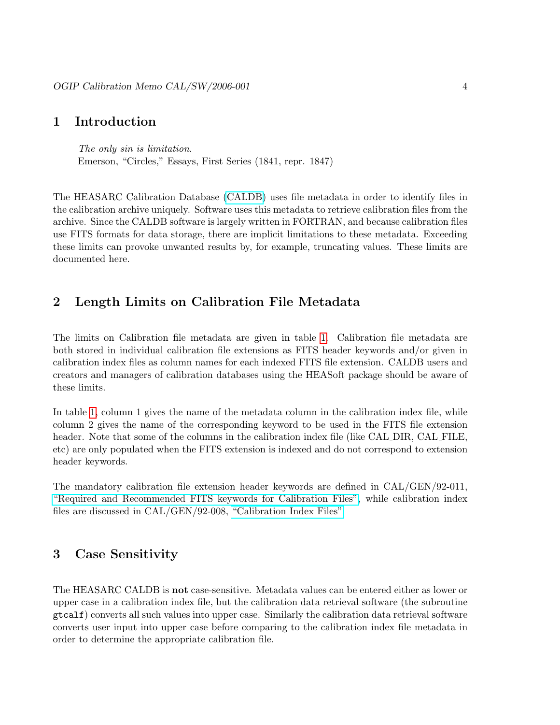#### <span id="page-3-0"></span>1 Introduction

The only sin is limitation. Emerson, "Circles," Essays, First Series (1841, repr. 1847)

The HEASARC Calibration Database [\(CALDB\)](http://heasarc.gsfc.nasa.gov/docs/heasarc/caldb/) uses file metadata in order to identify files in the calibration archive uniquely. Software uses this metadata to retrieve calibration files from the archive. Since the CALDB software is largely written in FORTRAN, and because calibration files use FITS formats for data storage, there are implicit limitations to these metadata. Exceeding these limits can provoke unwanted results by, for example, truncating values. These limits are documented here.

### <span id="page-3-1"></span>2 Length Limits on Calibration File Metadata

The limits on Calibration file metadata are given in table [1.](#page-4-0) Calibration file metadata are both stored in individual calibration file extensions as FITS header keywords and/or given in calibration index files as column names for each indexed FITS file extension. CALDB users and creators and managers of calibration databases using the HEASoft package should be aware of these limits.

In table [1,](#page-4-0) column 1 gives the name of the metadata column in the calibration index file, while column 2 gives the name of the corresponding keyword to be used in the FITS file extension header. Note that some of the columns in the calibration index file (like CAL DIR, CAL FILE, etc) are only populated when the FITS extension is indexed and do not correspond to extension header keywords.

The mandatory calibration file extension header keywords are defined in CAL/GEN/92-011, ["Required and Recommended FITS keywords for Calibration Files",](http://heasarc.gsfc.nasa.gov/docs/heasarc/caldb/docs/memos/cal_gen_92_011/cal_gen_92_011.html) while calibration index files are discussed in CAL/GEN/92-008, ["Calibration Index Files"](http://heasarc.gsfc.nasa.gov/docs/heasarc/caldb/docs/memos/cal_gen_92_008/cal_gen_92_008.html)

#### <span id="page-3-2"></span>3 Case Sensitivity

The HEASARC CALDB is not case-sensitive. Metadata values can be entered either as lower or upper case in a calibration index file, but the calibration data retrieval software (the subroutine gtcalf) converts all such values into upper case. Similarly the calibration data retrieval software converts user input into upper case before comparing to the calibration index file metadata in order to determine the appropriate calibration file.